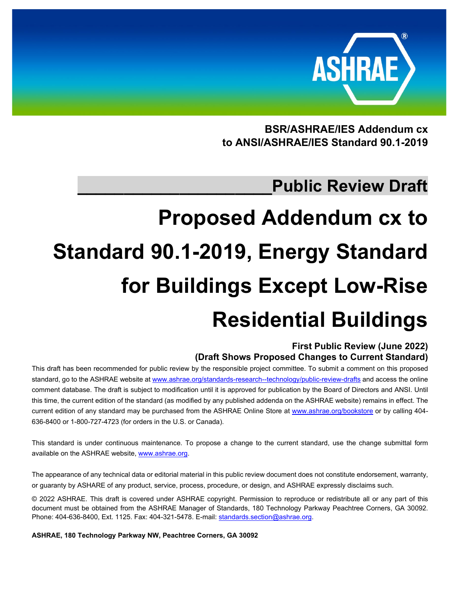

**BSR/ASHRAE/IES Addendum cx to ANSI/ASHRAE/IES Standard 90.1-2019**

# **\_\_\_\_\_\_\_\_\_\_\_\_\_\_\_\_\_\_\_\_\_Public Review Draft**

# **Proposed Addendum cx to Standard 90.1-2019, Energy Standard for Buildings Except Low-Rise Residential Buildings**

**First Public Review (June 2022) (Draft Shows Proposed Changes to Current Standard)**

This draft has been recommended for public review by the responsible project committee. To submit a comment on this proposed standard, go to the ASHRAE website at [www.ashrae.org/standards-research--technology/public-review-drafts](http://www.ashrae.org/standards-research--technology/public-review-drafts) and access the online comment database. The draft is subject to modification until it is approved for publication by the Board of Directors and ANSI. Until this time, the current edition of the standard (as modified by any published addenda on the ASHRAE website) remains in effect. The current edition of any standard may be purchased from the ASHRAE Online Store at [www.ashrae.org/bookstore](http://www.ashrae.org/bookstore) or by calling 404-636-8400 or 1-800-727-4723 (for orders in the U.S. or Canada).

This standard is under continuous maintenance. To propose a change to the current standard, use the change submittal form available on the ASHRAE website[, www.ashrae.org.](http://www.ashrae.org/)

The appearance of any technical data or editorial material in this public review document does not constitute endorsement, warranty, or guaranty by ASHARE of any product, service, process, procedure, or design, and ASHRAE expressly disclaims such.

© 2022 ASHRAE. This draft is covered under ASHRAE copyright. Permission to reproduce or redistribute all or any part of this document must be obtained from the ASHRAE Manager of Standards, 180 Technology Parkway Peachtree Corners, GA 30092. Phone: 404-636-8400, Ext. 1125. Fax: 404-321-5478. E-mail[: standards.section@ashrae.org.](mailto:standards.section@ashrae.org)

**ASHRAE, 180 Technology Parkway NW, Peachtree Corners, GA 30092**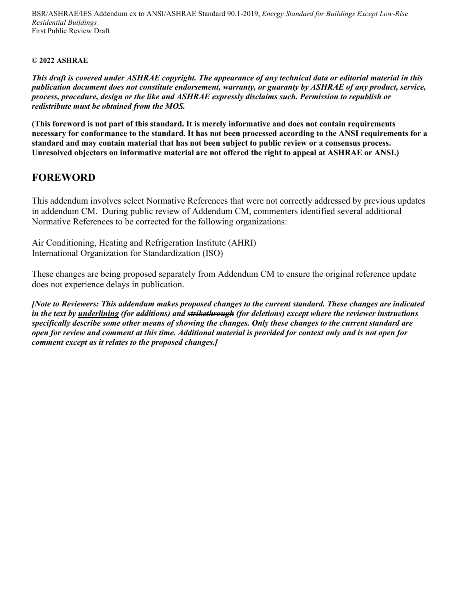BSR/ASHRAE/IES Addendum cx to ANSI/ASHRAE Standard 90.1-2019, *Energy Standard for Buildings Except Low-Rise Residential Buildings* First Public Review Draft

#### **© 2022 ASHRAE**

*This draft is covered under ASHRAE copyright. The appearance of any technical data or editorial material in this publication document does not constitute endorsement, warranty, or guaranty by ASHRAE of any product, service, process, procedure, design or the like and ASHRAE expressly disclaims such. Permission to republish or redistribute must be obtained from the MOS.*

**(This foreword is not part of this standard. It is merely informative and does not contain requirements necessary for conformance to the standard. It has not been processed according to the ANSI requirements for a standard and may contain material that has not been subject to public review or a consensus process. Unresolved objectors on informative material are not offered the right to appeal at ASHRAE or ANSI.)**

### **FOREWORD**

This addendum involves select Normative References that were not correctly addressed by previous updates in addendum CM. During public review of Addendum CM, commenters identified several additional Normative References to be corrected for the following organizations:

Air Conditioning, Heating and Refrigeration Institute (AHRI) International Organization for Standardization (ISO)

These changes are being proposed separately from Addendum CM to ensure the original reference update does not experience delays in publication.

*[Note to Reviewers: This addendum makes proposed changes to the current standard. These changes are indicated in the text by underlining (for additions) and strikethrough (for deletions) except where the reviewer instructions specifically describe some other means of showing the changes. Only these changes to the current standard are open for review and comment at this time. Additional material is provided for context only and is not open for comment except as it relates to the proposed changes.]*